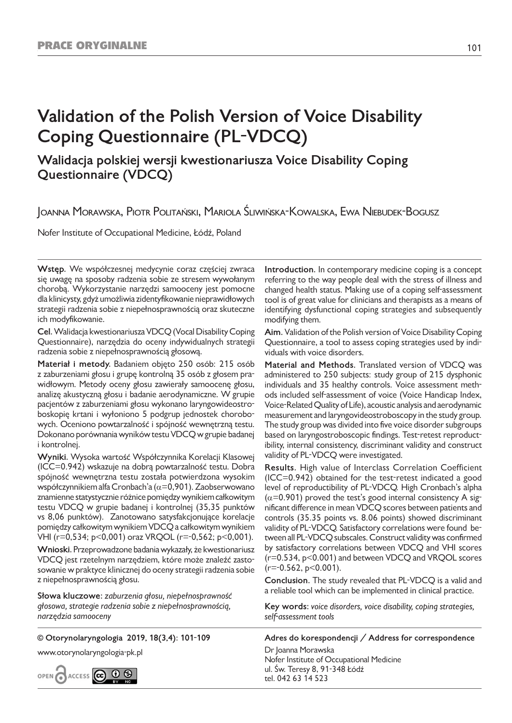# **Validation of the Polish Version of Voice Disability Coping Questionnaire (PL-VDCQ)**

# **Walidacja polskiej wersji kwestionariusza Voice Disability Coping Questionnaire (VDCQ)**

Joanna Morawska, Piotr Politański, Mariola Śliwińska-Kowalska, Ewa Niebudek-Bogusz

Nofer Institute of Occupational Medicine, Łódź, Poland

**Wstęp.** We współczesnej medycynie coraz częściej zwraca się uwagę na sposoby radzenia sobie ze stresem wywołanym chorobą. Wykorzystanie narzędzi samooceny jest pomocne dla klinicysty, gdyż umożliwia zidentyfikowanie nieprawidłowych strategii radzenia sobie z niepełnosprawnością oraz skuteczne ich modyfikowanie.

**Cel.** Walidacja kwestionariusza VDCQ (Vocal Disability Coping Questionnaire), narzędzia do oceny indywidualnych strategii radzenia sobie z niepełnosprawnością głosową.

**Materiał i metody.** Badaniem objęto 250 osób: 215 osób z zaburzeniami głosu i grupę kontrolną 35 osób z głosem prawidłowym. Metody oceny głosu zawierały samoocenę głosu, analizę akustyczną głosu i badanie aerodynamiczne. W grupie pacjentów z zaburzeniami głosu wykonano laryngowideostroboskopię krtani i wyłoniono 5 podgrup jednostek chorobowych. Oceniono powtarzalność i spójność wewnętrzną testu. Dokonano porównania wyników testu VDCQ w grupie badanej i kontrolnej.

**Wyniki.** Wysoka wartość Współczynnika Korelacji Klasowej (ICC=0.942) wskazuje na dobrą powtarzalność testu. Dobra spójność wewnętrzna testu została potwierdzona wysokim współczynnikiem alfa Cronbach'a ( $\alpha$ =0,901). Zaobserwowano znamienne statystycznie różnice pomiędzy wynikiem całkowitym testu VDCQ w grupie badanej i kontrolnej (35,35 punktów vs 8,06 punktów). Zanotowano satysfakcjonujące korelacje pomiędzy całkowitym wynikiem VDCQ a całkowitym wynikiem VHI (r=0,534; p<0,001) oraz VRQOL (r=-0,562; p<0,001).

**Wnioski.** Przeprowadzone badania wykazały, że kwestionariusz VDCQ jest rzetelnym narzędziem, które może znaleźć zastosowanie w praktyce klinicznej do oceny strategii radzenia sobie z niepełnosprawnością głosu.

**Słowa kluczowe:** *zaburzenia głosu, niepełnosprawność głosowa, strategie radzenia sobie z niepełnosprawnością, narzędzia samooceny*

**© Otorynolaryngologia 2019, 18(3,4): 101-109**

www.otorynolaryngologia-pk.pl



**Introduction.** In contemporary medicine coping is a concept referring to the way people deal with the stress of illness and changed health status. Making use of a coping self-assessment tool is of great value for clinicians and therapists as a means of identifying dysfunctional coping strategies and subsequently modifying them.

**Aim.** Validation of the Polish version of Voice Disability Coping Questionnaire, a tool to assess coping strategies used by individuals with voice disorders.

**Material and Methods.** Translated version of VDCQ was administered to 250 subjects: study group of 215 dysphonic individuals and 35 healthy controls. Voice assessment methods included self-assessment of voice (Voice Handicap Index, Voice-Related Quality of Life), acoustic analysis and aerodynamic measurement and laryngovideostroboscopy in the study group. The study group was divided into five voice disorder subgroups based on laryngostroboscopic findings. Test-retest reproductibility, internal consistency, discriminant validity and construct validity of PL-VDCQ were investigated.

**Results.** High value of Interclass Correlation Coefficient (ICC=0.942) obtained for the test-retest indicated a good level of reproductibility of PL-VDCQ. High Cronbach's alpha  $(\alpha=0.901)$  proved the test's good internal consistency A significant difference in mean VDCQ scores between patients and controls (35.35 points vs. 8.06 points) showed discriminant validity of PL-VDCQ. Satisfactory correlations were found between all PL-VDCQ subscales. Construct validity was confirmed by satisfactory correlations between VDCQ and VHI scores (r=0.534, p<0.001) and between VDCQ and VRQOL scores  $(r=-0.562, p<0.001)$ .

**Conclusion.** The study revealed that PL-VDCQ is a valid and a reliable tool which can be implemented in clinical practice.

**Key words:** *voice disorders, voice disability, coping strategies, self-assessment tools*

**Adres do korespondencji / Address for correspondence**

Dr Joanna Morawska Nofer Institute of Occupational Medicine ul. Św. Teresy 8, 91-348 Łódź tel. 042 63 14 523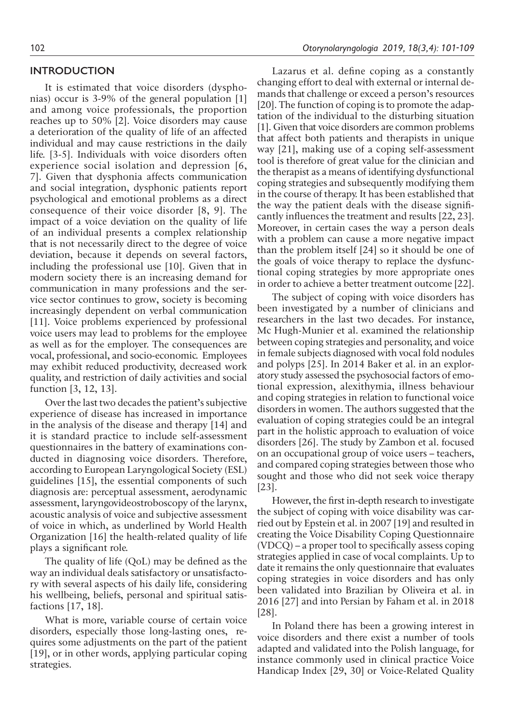# **INTRODUCTION**

It is estimated that voice disorders (dysphonias) occur is 3-9% of the general population [1] and among voice professionals, the proportion reaches up to 50% [2]. Voice disorders may cause a deterioration of the quality of life of an affected individual and may cause restrictions in the daily life. [3-5]. Individuals with voice disorders often experience social isolation and depression [6, 7]. Given that dysphonia affects communication and social integration, dysphonic patients report psychological and emotional problems as a direct consequence of their voice disorder [8, 9]. The impact of a voice deviation on the quality of life of an individual presents a complex relationship that is not necessarily direct to the degree of voice deviation, because it depends on several factors, including the professional use [10]. Given that in modern society there is an increasing demand for communication in many professions and the service sector continues to grow, society is becoming increasingly dependent on verbal communication [11]. Voice problems experienced by professional voice users may lead to problems for the employee as well as for the employer. The consequences are vocal, professional, and socio-economic. Employees may exhibit reduced productivity, decreased work quality, and restriction of daily activities and social function [3, 12, 13].

Over the last two decades the patient's subjective experience of disease has increased in importance in the analysis of the disease and therapy [14] and it is standard practice to include self-assessment questionnaires in the battery of examinations conducted in diagnosing voice disorders. Therefore, according to European Laryngological Society (ESL) guidelines [15], the essential components of such diagnosis are: perceptual assessment, aerodynamic assessment, laryngovideostroboscopy of the larynx, acoustic analysis of voice and subjective assessment of voice in which, as underlined by World Health Organization [16] the health-related quality of life plays a significant role.

The quality of life (QoL) may be defined as the way an individual deals satisfactory or unsatisfactory with several aspects of his daily life, considering his wellbeing, beliefs, personal and spiritual satisfactions [17, 18].

What is more, variable course of certain voice disorders, especially those long-lasting ones, requires some adjustments on the part of the patient [19], or in other words, applying particular coping strategies.

Lazarus et al. define coping as a constantly changing effort to deal with external or internal demands that challenge or exceed a person's resources [20]. The function of coping is to promote the adaptation of the individual to the disturbing situation [1]. Given that voice disorders are common problems that affect both patients and therapists in unique way [21], making use of a coping self-assessment tool is therefore of great value for the clinician and the therapist as a means of identifying dysfunctional coping strategies and subsequently modifying them in the course of therapy. It has been established that the way the patient deals with the disease significantly influences the treatment and results [22, 23]. Moreover, in certain cases the way a person deals with a problem can cause a more negative impact than the problem itself [24] so it should be one of the goals of voice therapy to replace the dysfunctional coping strategies by more appropriate ones in order to achieve a better treatment outcome [22].

The subject of coping with voice disorders has been investigated by a number of clinicians and researchers in the last two decades. For instance, Mc Hugh-Munier et al. examined the relationship between coping strategies and personality, and voice in female subjects diagnosed with vocal fold nodules and polyps [25]. In 2014 Baker et al. in an exploratory study assessed the psychosocial factors of emotional expression, alexithymia, illness behaviour and coping strategies in relation to functional voice disorders in women. The authors suggested that the evaluation of coping strategies could be an integral part in the holistic approach to evaluation of voice disorders [26]. The study by Zambon et al. focused on an occupational group of voice users – teachers, and compared coping strategies between those who sought and those who did not seek voice therapy [23].

However, the first in-depth research to investigate the subject of coping with voice disability was carried out by Epstein et al. in 2007 [19] and resulted in creating the Voice Disability Coping Questionnaire (VDCQ) – a proper tool to specifically assess coping strategies applied in case of vocal complaints. Up to date it remains the only questionnaire that evaluates coping strategies in voice disorders and has only been validated into Brazilian by Oliveira et al. in 2016 [27] and into Persian by Faham et al. in 2018 [28].

In Poland there has been a growing interest in voice disorders and there exist a number of tools adapted and validated into the Polish language, for instance commonly used in clinical practice Voice Handicap Index [29, 30] or Voice-Related Quality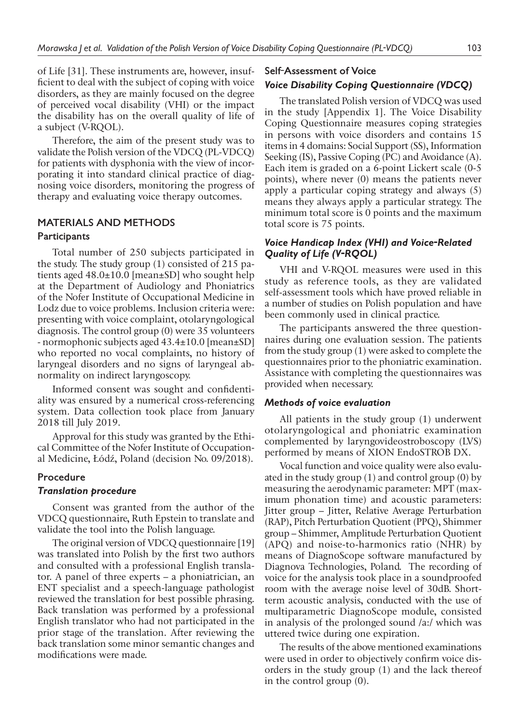of Life [31]. These instruments are, however, insufficient to deal with the subject of coping with voice disorders, as they are mainly focused on the degree of perceived vocal disability (VHI) or the impact the disability has on the overall quality of life of a subject (V-RQOL).

Therefore, the aim of the present study was to validate the Polish version of the VDCQ (PL-VDCQ) for patients with dysphonia with the view of incorporating it into standard clinical practice of diagnosing voice disorders, monitoring the progress of therapy and evaluating voice therapy outcomes.

# **MATERIALS AND METHODS**

#### **Participants**

Total number of 250 subjects participated in the study. The study group (1) consisted of 215 patients aged 48.0±10.0 [mean±SD] who sought help at the Department of Audiology and Phoniatrics of the Nofer Institute of Occupational Medicine in Lodz due to voice problems. Inclusion criteria were: presenting with voice complaint, otolaryngological diagnosis. The control group (0) were 35 volunteers - normophonic subjects aged 43.4±10.0 [mean±SD] who reported no vocal complaints, no history of laryngeal disorders and no signs of laryngeal abnormality on indirect laryngoscopy.

Informed consent was sought and confidentiality was ensured by a numerical cross-referencing system. Data collection took place from January 2018 till July 2019.

Approval for this study was granted by the Ethical Committee of the Nofer Institute of Occupational Medicine, Łódź, Poland (decision No. 09/2018).

# **Procedure**

#### *Translation procedure*

Consent was granted from the author of the VDCQ questionnaire, Ruth Epstein to translate and validate the tool into the Polish language.

The original version of VDCQ questionnaire [19] was translated into Polish by the first two authors and consulted with a professional English translator. A panel of three experts – a phoniatrician, an ENT specialist and a speech-language pathologist reviewed the translation for best possible phrasing. Back translation was performed by a professional English translator who had not participated in the prior stage of the translation. After reviewing the back translation some minor semantic changes and modifications were made.

# **Self-Assessment of Voice** *Voice Disability Coping Questionnaire (VDCQ)*

The translated Polish version of VDCQ was used in the study [Appendix 1]. The Voice Disability Coping Questionnaire measures coping strategies in persons with voice disorders and contains 15 items in 4 domains: Social Support (SS), Information Seeking (IS), Passive Coping (PC) and Avoidance (A). Each item is graded on a 6-point Lickert scale (0-5 points), where never (0) means the patients never apply a particular coping strategy and always (5) means they always apply a particular strategy. The minimum total score is 0 points and the maximum total score is 75 points.

# *Voice Handicap Index (VHI) and Voice-Related Quality of Life (V-RQOL)*

VHI and V-RQOL measures were used in this study as reference tools, as they are validated self-assessment tools which have proved reliable in a number of studies on Polish population and have been commonly used in clinical practice.

The participants answered the three questionnaires during one evaluation session. The patients from the study group (1) were asked to complete the questionnaires prior to the phoniatric examination. Assistance with completing the questionnaires was provided when necessary.

#### *Methods of voice evaluation*

All patients in the study group (1) underwent otolaryngological and phoniatric examination complemented by laryngovideostroboscopy (LVS) performed by means of XION EndoSTROB DX.

Vocal function and voice quality were also evaluated in the study group (1) and control group (0) by measuring the aerodynamic parameter: MPT (maximum phonation time) and acoustic parameters: Jitter group – Jitter, Relative Average Perturbation (RAP), Pitch Perturbation Quotient (PPQ), Shimmer group – Shimmer, Amplitude Perturbation Quotient (APQ) and noise-to-harmonics ratio (NHR) by means of DiagnoScope software manufactured by Diagnova Technologies, Poland. The recording of voice for the analysis took place in a soundproofed room with the average noise level of 30dB. Shortterm acoustic analysis, conducted with the use of multiparametric DiagnoScope module, consisted in analysis of the prolonged sound /a:/ which was uttered twice during one expiration.

The results of the above mentioned examinations were used in order to objectively confirm voice disorders in the study group (1) and the lack thereof in the control group (0).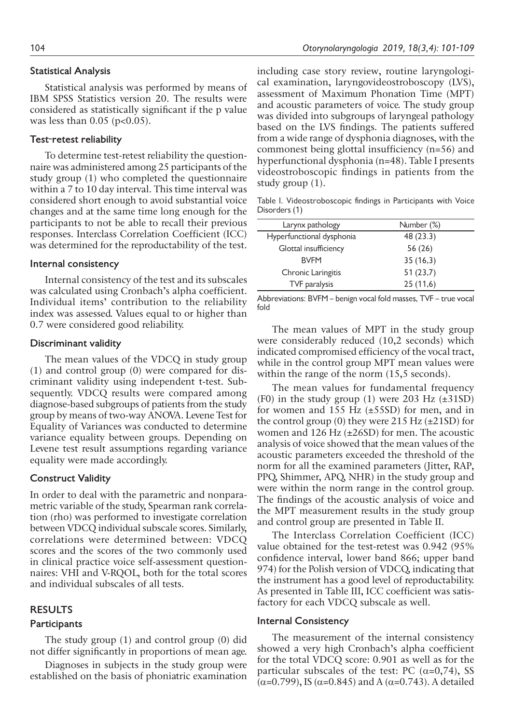# **Statistical Analysis**

Statistical analysis was performed by means of IBM SPSS Statistics version 20. The results were considered as statistically significant if the p value was less than  $0.05$  (p<0.05).

# **Test-retest reliability**

To determine test-retest reliability the questionnaire was administered among 25 participants of the study group (1) who completed the questionnaire within a 7 to 10 day interval. This time interval was considered short enough to avoid substantial voice changes and at the same time long enough for the participants to not be able to recall their previous responses. Interclass Correlation Coefficient (ICC) was determined for the reproductability of the test.

#### **Internal consistency**

Internal consistency of the test and its subscales was calculated using Cronbach's alpha coefficient. Individual items' contribution to the reliability index was assessed. Values equal to or higher than 0.7 were considered good reliability.

#### **Discriminant validity**

The mean values of the VDCQ in study group (1) and control group (0) were compared for discriminant validity using independent t-test. Subsequently. VDCQ results were compared among diagnose-based subgroups of patients from the study group by means of two-way ANOVA. Levene Test for Equality of Variances was conducted to determine variance equality between groups. Depending on Levene test result assumptions regarding variance equality were made accordingly.

# **Construct Validity**

In order to deal with the parametric and nonparametric variable of the study, Spearman rank correlation (rho) was performed to investigate correlation between VDCQ individual subscale scores. Similarly, correlations were determined between: VDCQ scores and the scores of the two commonly used in clinical practice voice self-assessment questionnaires: VHI and V-RQOL, both for the total scores and individual subscales of all tests.

# **RESULTS**

#### **Participants**

The study group (1) and control group (0) did not differ significantly in proportions of mean age.

Diagnoses in subjects in the study group were established on the basis of phoniatric examination including case story review, routine laryngological examination, laryngovideostroboscopy (LVS), assessment of Maximum Phonation Time (MPT) and acoustic parameters of voice. The study group was divided into subgroups of laryngeal pathology based on the LVS findings. The patients suffered from a wide range of dysphonia diagnoses, with the commonest being glottal insufficiency (n=56) and hyperfunctional dysphonia (n=48). Table I presents videostroboscopic findings in patients from the study group (1).

Table I. Videostroboscopic findings in Participants with Voice Disorders (1)

| Larynx pathology          | Number (%) |
|---------------------------|------------|
| Hyperfunctional dysphonia | 48 (23.3)  |
| Glottal insufficiency     | 56(26)     |
| <b>RVFM</b>               | 35(16,3)   |
| Chronic Laringitis        | 51(23,7)   |
| TVF paralysis             | 25(11,6)   |

Abbreviations: BVFM – benign vocal fold masses, TVF – true vocal fold

The mean values of MPT in the study group were considerably reduced (10,2 seconds) which indicated compromised efficiency of the vocal tract, while in the control group MPT mean values were within the range of the norm  $(15,5 \text{ seconds})$ .

The mean values for fundamental frequency (F0) in the study group (1) were  $203$  Hz ( $\pm 31SD$ ) for women and 155 Hz (±55SD) for men, and in the control group (0) they were  $215$  Hz ( $\pm$ 21SD) for women and 126 Hz (±26SD) for men. The acoustic analysis of voice showed that the mean values of the acoustic parameters exceeded the threshold of the norm for all the examined parameters (Jitter, RAP, PPQ, Shimmer, APQ, NHR) in the study group and were within the norm range in the control group. The findings of the acoustic analysis of voice and the MPT measurement results in the study group and control group are presented in Table II.

The Interclass Correlation Coefficient (ICC) value obtained for the test-retest was 0.942 (95% confidence interval, lower band 866; upper band 974) for the Polish version of VDCQ, indicating that the instrument has a good level of reproductability. As presented in Table III, ICC coefficient was satisfactory for each VDCQ subscale as well.

## **Internal Consistency**

The measurement of the internal consistency showed a very high Cronbach's alpha coefficient for the total VDCQ score: 0.901 as well as for the particular subscales of the test: PC  $(\alpha=0,74)$ , SS (α=0.799), IS (α=0.845) and A (α=0.743). A detailed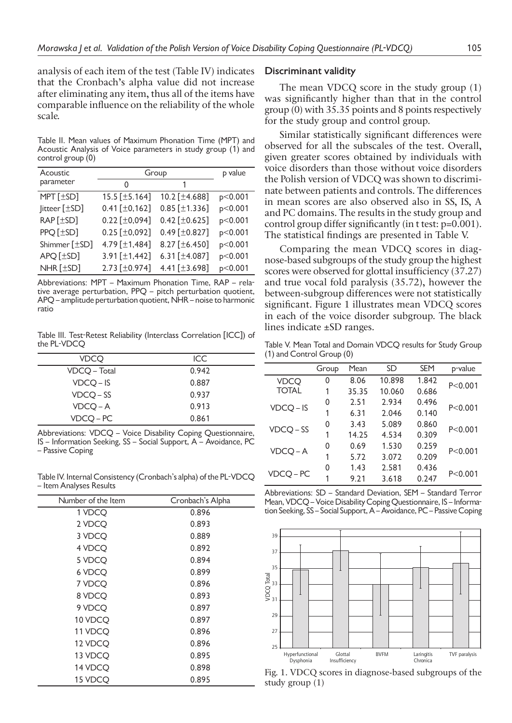analysis of each item of the test (Table IV) indicates that the Cronbach's alpha value did not increase after eliminating any item, thus all of the items have comparable influence on the reliability of the whole scale.

Table II. Mean values of Maximum Phonation Time (MPT) and Acoustic Analysis of Voice parameters in study group (1) and control group (0)

| Acoustic          | Group                  | p value               |         |
|-------------------|------------------------|-----------------------|---------|
| parameter         | O                      | 1                     |         |
| $MPT$ [ $\pm$ SD] | 15.5 [±5.164]          | 10.2 [±4.688]         | p<0.001 |
| Jitteer [±SD]     | $0.41$ [ $\pm$ 0,162]  | $0.85$ [ $\pm$ 1.336] | p<0.001 |
| RAP [±SD]         | $0.22$ [ $\pm 0.094$ ] | $0.42$ [ $\pm$ 0.625] | p<0.001 |
| PPQ [±SD]         | $0.25$ [ $\pm 0.092$ ] | $0.49$ [ $\pm$ 0.827] | p<0.001 |
| Shimmer [±SD]     | 4.79 [±1,484]          | 8.27 [±6.450]         | p<0.001 |
| APQ [±SD]         | 3.91 $[±1,442]$        | 6.31 [ $\pm$ 4.087]   | p<0.001 |
| NHR [±SD]         | 2.73 [±0.974]          | 4.41 [±3.698]         | p<0.001 |

Abbreviations: MPT – Maximum Phonation Time, RAP – relative average perturbation, PPQ – pitch perturbation quotient, APQ – amplitude perturbation quotient, NHR – noise to harmonic ratio

Table III. Test-Retest Reliability (Interclass Correlation [ICC]) of the PL-VDCQ

| VDCO         | ICC   |
|--------------|-------|
| VDCO – Total | 0.942 |
| $VDCQ - IS$  | 0.887 |
| $VDCQ - SS$  | 0.937 |
| VDCO-A       | 0.913 |
| $VDCQ - PC$  | 0.861 |

Abbreviations: VDCQ – Voice Disability Coping Questionnaire, IS – Information Seeking, SS – Social Support, A – Avoidance, PC – Passive Coping

Table IV. Internal Consistency (Cronbach's alpha) of the PL-VDCQ – Item Analyses Results

| Number of the Item | Cronbach's Alpha |
|--------------------|------------------|
| 1 VDCQ             | 0.896            |
| 2 VDCQ             | 0.893            |
| 3 VDCQ             | 0.889            |
| 4 VDCQ             | 0.892            |
| 5 VDCQ             | 0.894            |
| 6 VDCQ             | 0.899            |
| 7 VDCQ             | 0.896            |
| 8 VDCQ             | 0.893            |
| 9 VDCQ             | 0.897            |
| 10 VDCQ            | 0.897            |
| 11 VDCQ            | 0.896            |
| 12 VDCQ            | 0.896            |
| 13 VDCQ            | 0.895            |
| 14 VDCQ            | 0.898            |
| 15 VDCQ            | 0.895            |

#### **Discriminant validity**

The mean VDCQ score in the study group (1) was significantly higher than that in the control group (0) with 35.35 points and 8 points respectively for the study group and control group.

Similar statistically significant differences were observed for all the subscales of the test. Overall, given greater scores obtained by individuals with voice disorders than those without voice disorders the Polish version of VDCQ was shown to discriminate between patients and controls. The differences in mean scores are also observed also in SS, IS, A and PC domains. The results in the study group and control group differ significantly (in t test: p=0.001). The statistical findings are presented in Table V.

Comparing the mean VDCQ scores in diagnose-based subgroups of the study group the highest scores were observed for glottal insufficiency (37.27) and true vocal fold paralysis (35.72), however the between-subgroup differences were not statistically significant. Figure 1 illustrates mean VDCQ scores in each of the voice disorder subgroup. The black lines indicate ±SD ranges.

Table V. Mean Total and Domain VDCQ results for Study Group (1) and Control Group (0)

|              | Group | Mean  | SD     | <b>SEM</b> | p-value   |
|--------------|-------|-------|--------|------------|-----------|
| <b>VDCO</b>  | 0     | 8.06  | 10.898 | 1.842      | P < 0.001 |
| <b>TOTAL</b> | 1     | 35.35 | 10.060 | 0.686      |           |
| $VDCQ - IS$  | 0     | 2.51  | 2.934  | 0.496      | P < 0.001 |
|              |       | 6.31  | 2.046  | 0.140      |           |
| VDCO-SS      | 0     | 3.43  | 5.089  | 0.860      | P < 0.001 |
|              | 1     | 14.25 | 4.534  | 0.309      |           |
| $VDCQ - A$   | 0     | 0.69  | 1.530  | 0.259      | P < 0.001 |
|              |       | 5.72  | 3.072  | 0.209      |           |
|              | 0     | 1.43  | 2.581  | 0.436      | P < 0.001 |
| VDCQ-PC      | 1     | 9.21  | 3.618  | 0.247      |           |

Abbreviations: SD – Standard Deviation, SEM – Standard Terror Mean, VDCQ – Voice Disability Coping Questionnaire, IS – Information Seeking, SS – Social Support, A – Avoidance, PC – Passive Coping



Fig. 1. VDCQ scores in diagnose-based subgroups of the study group (1)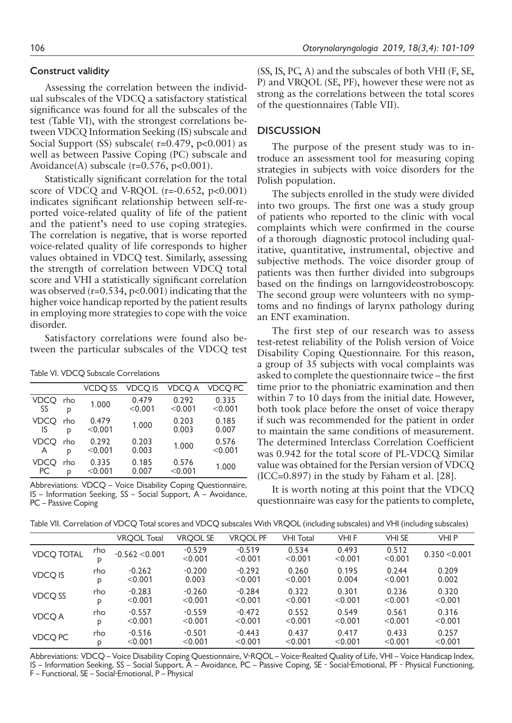# **Construct validity**

Assessing the correlation between the individual subscales of the VDCQ a satisfactory statistical significance was found for all the subscales of the test (Table VI), with the strongest correlations between VDCQ Information Seeking (IS) subscale and Social Support (SS) subscale( r=0.479, p<0.001) as well as between Passive Coping (PC) subscale and Avoidance(A) subscale ( $r=0.576$ ,  $p<0.001$ ).

Statistically significant correlation for the total score of VDCQ and V-RQOL ( $r=-0.652$ ,  $p<0.001$ ) indicates significant relationship between self-reported voice-related quality of life of the patient and the patient's need to use coping strategies. The correlation is negative, that is worse reported voice-related quality of life corresponds to higher values obtained in VDCQ test. Similarly, assessing the strength of correlation between VDCQ total score and VHI a statistically significant correlation was observed  $(r=0.534, p<0.001)$  indicating that the higher voice handicap reported by the patient results in employing more strategies to cope with the voice disorder.

Satisfactory correlations were found also between the particular subscales of the VDCQ test

Table VI. VDCQ Subscale Correlations

|             |     | VCDO SS | VDCO IS | VDCO A  | VDCO PC |
|-------------|-----|---------|---------|---------|---------|
| VDCO        | rho | 1.000   | 0.479   | 0.292   | 0.335   |
| SS          | P   |         | < 0.001 | < 0.001 | < 0.001 |
| VDCO        | rho | 0.479   | 1.000   | 0.203   | 0.185   |
| IS          | p   | < 0.001 |         | 0.003   | 0.007   |
| <b>VDCO</b> | rho | 0.292   | 0.203   | 1.000   | 0.576   |
| A           | p   | < 0.001 | 0.003   |         | < 0.001 |
| VDCO        | rho | 0.335   | 0.185   | 0.576   | 1.000   |
| РC          | D   | < 0.001 | 0.007   | < 0.001 |         |

Abbreviations: VDCQ – Voice Disability Coping Questionnaire, IS – Information Seeking, SS – Social Support, A – Avoidance, PC – Passive Coping

(SS, IS, PC, A) and the subscales of both VHI (F, SE, P) and VRQOL (SE, PF), however these were not as strong as the correlations between the total scores of the questionnaires (Table VII).

# **DISCUSSION**

The purpose of the present study was to introduce an assessment tool for measuring coping strategies in subjects with voice disorders for the Polish population.

The subjects enrolled in the study were divided into two groups. The first one was a study group of patients who reported to the clinic with vocal complaints which were confirmed in the course of a thorough diagnostic protocol including qualitative, quantitative, instrumental, objective and subjective methods. The voice disorder group of patients was then further divided into subgroups based on the findings on larngovideostroboscopy. The second group were volunteers with no symptoms and no findings of larynx pathology during an ENT examination.

The first step of our research was to assess test-retest reliability of the Polish version of Voice Disability Coping Questionnaire. For this reason, a group of 35 subjects with vocal complaints was asked to complete the questionnaire twice – the first time prior to the phoniatric examination and then within 7 to 10 days from the initial date. However, both took place before the onset of voice therapy if such was recommended for the patient in order to maintain the same conditions of measurement. The determined Interclass Correlation Coefficient was 0.942 for the total score of PL-VDCQ. Similar value was obtained for the Persian version of VDCQ  $(ICC=0.897)$  in the study by Faham et al.  $[28]$ .

It is worth noting at this point that the VDCQ questionnaire was easy for the patients to complete,

Table VII. Correlation of VDCQ Total scores and VDCQ subscales With VRQOL (including subscales) and VHI (including subscales)

|                   |          | <b>VRQOL Total</b> | <b>VRQOL SE</b>     | <b>VRQOL PF</b>     | <b>VHI Total</b> | VHI F            | VHI SE           | VHI P         |
|-------------------|----------|--------------------|---------------------|---------------------|------------------|------------------|------------------|---------------|
| <b>VDCQ TOTAL</b> | rho<br>D | $-0.562 < 0.001$   | $-0.529$<br>< 0.001 | $-0.519$<br>< 0.001 | 0.534<br>< 0.001 | 0.493<br>< 0.001 | 0.512<br>< 0.001 | 0.350 < 0.001 |
| <b>VDCQ IS</b>    | rho      | $-0.262$           | $-0.200$            | $-0.292$            | 0.260            | 0.195            | 0.244            | 0.209         |
|                   | D        | < 0.001            | 0.003               | < 0.001             | < 0.001          | 0.004            | < 0.001          | 0.002         |
| VDCQ SS           | rho      | $-0.283$           | $-0.260$            | $-0.284$            | 0.322            | 0.301            | 0.236            | 0.320         |
|                   | D        | < 0.001            | < 0.001             | < 0.001             | < 0.001          | < 0.001          | < 0.001          | < 0.001       |
| <b>VDCQA</b>      | rho      | $-0.557$           | $-0.559$            | $-0.472$            | 0.552            | 0.549            | 0.561            | 0.316         |
|                   | D        | < 0.001            | < 0.001             | < 0.001             | < 0.001          | < 0.001          | < 0.001          | < 0.001       |
| VDCQ PC           | rho      | $-0.516$           | $-0.501$            | $-0.443$            | 0.437            | 0.417            | 0.433            | 0.257         |
|                   | D        | < 0.001            | < 0.001             | < 0.001             | < 0.001          | < 0.001          | < 0.001          | < 0.001       |

Abbreviations: VDCQ – Voice Disability Coping Questionnaire, V-RQOL – Voice-Realted Quality of Life, VHI – Voice Handicap Index, IS – Information Seeking, SS – Social Support, A – Avoidance, PC – Passive Coping, SE - Social-Emotional, PF - Physical Functioning, F – Functional, SE – Social-Emotional, P – Physical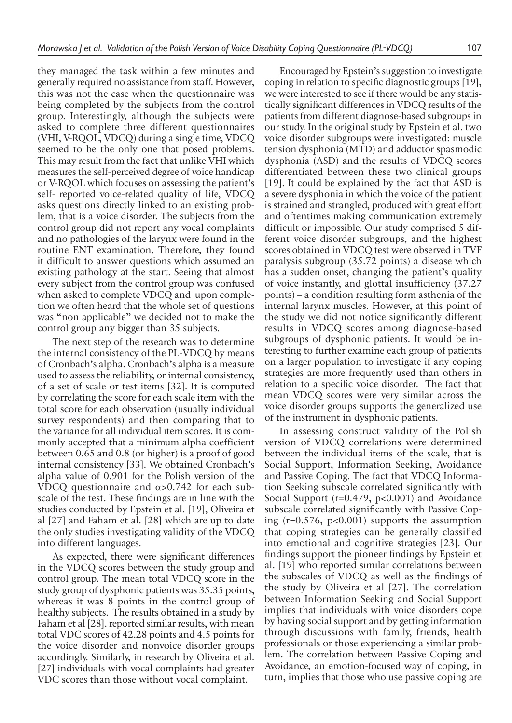they managed the task within a few minutes and generally required no assistance from staff. However, this was not the case when the questionnaire was being completed by the subjects from the control group. Interestingly, although the subjects were asked to complete three different questionnaires (VHI, V-RQOL, VDCQ) during a single time, VDCQ seemed to be the only one that posed problems. This may result from the fact that unlike VHI which measures the self-perceived degree of voice handicap or V-RQOL which focuses on assessing the patient's self- reported voice-related quality of life, VDCQ asks questions directly linked to an existing problem, that is a voice disorder. The subjects from the control group did not report any vocal complaints and no pathologies of the larynx were found in the routine ENT examination. Therefore, they found it difficult to answer questions which assumed an existing pathology at the start. Seeing that almost every subject from the control group was confused when asked to complete VDCQ and upon completion we often heard that the whole set of questions was "non applicable" we decided not to make the control group any bigger than 35 subjects.

The next step of the research was to determine the internal consistency of the PL-VDCQ by means of Cronbach's alpha. Cronbach's alpha is a measure used to assess the reliability, or internal consistency, of a set of scale or test items [32]. It is computed by correlating the score for each scale item with the total score for each observation (usually individual survey respondents) and then comparing that to the variance for all individual item scores. It is commonly accepted that a minimum alpha coefficient between 0.65 and 0.8 (or higher) is a proof of good internal consistency [33]. We obtained Cronbach's alpha value of 0.901 for the Polish version of the VDCQ questionnaire and  $α>0.742$  for each subscale of the test. These findings are in line with the studies conducted by Epstein et al. [19], Oliveira et al [27] and Faham et al. [28] which are up to date the only studies investigating validity of the VDCQ into different languages.

As expected, there were significant differences in the VDCQ scores between the study group and control group. The mean total VDCQ score in the study group of dysphonic patients was 35.35 points, whereas it was 8 points in the control group of healthy subjects. The results obtained in a study by Faham et al [28]. reported similar results, with mean total VDC scores of 42.28 points and 4.5 points for the voice disorder and nonvoice disorder groups accordingly. Similarly, in research by Oliveira et al. [27] individuals with vocal complaints had greater VDC scores than those without vocal complaint.

Encouraged by Epstein's suggestion to investigate coping in relation to specific diagnostic groups [19], we were interested to see if there would be any statistically significant differences in VDCQ results of the patients from different diagnose-based subgroups in our study. In the original study by Epstein et al. two voice disorder subgroups were investigated: muscle tension dysphonia (MTD) and adductor spasmodic dysphonia (ASD) and the results of VDCQ scores differentiated between these two clinical groups [19]. It could be explained by the fact that ASD is a severe dysphonia in which the voice of the patient is strained and strangled, produced with great effort and oftentimes making communication extremely difficult or impossible. Our study comprised 5 different voice disorder subgroups, and the highest scores obtained in VDCQ test were observed in TVF paralysis subgroup (35.72 points) a disease which has a sudden onset, changing the patient's quality of voice instantly, and glottal insufficiency (37.27 points) – a condition resulting form asthenia of the internal larynx muscles. However, at this point of the study we did not notice significantly different results in VDCQ scores among diagnose-based subgroups of dysphonic patients. It would be interesting to further examine each group of patients on a larger population to investigate if any coping strategies are more frequently used than others in relation to a specific voice disorder. The fact that mean VDCQ scores were very similar across the voice disorder groups supports the generalized use of the instrument in dysphonic patients.

In assessing construct validity of the Polish version of VDCQ correlations were determined between the individual items of the scale, that is Social Support, Information Seeking, Avoidance and Passive Coping. The fact that VDCQ Information Seeking subscale correlated significantly with Social Support (r=0.479, p<0.001) and Avoidance subscale correlated significantly with Passive Coping (r=0.576, p<0.001) supports the assumption that coping strategies can be generally classified into emotional and cognitive strategies [23]. Our findings support the pioneer findings by Epstein et al. [19] who reported similar correlations between the subscales of VDCQ as well as the findings of the study by Oliveira et al [27]. The correlation between Information Seeking and Social Support implies that individuals with voice disorders cope by having social support and by getting information through discussions with family, friends, health professionals or those experiencing a similar problem. The correlation between Passive Coping and Avoidance, an emotion-focused way of coping, in turn, implies that those who use passive coping are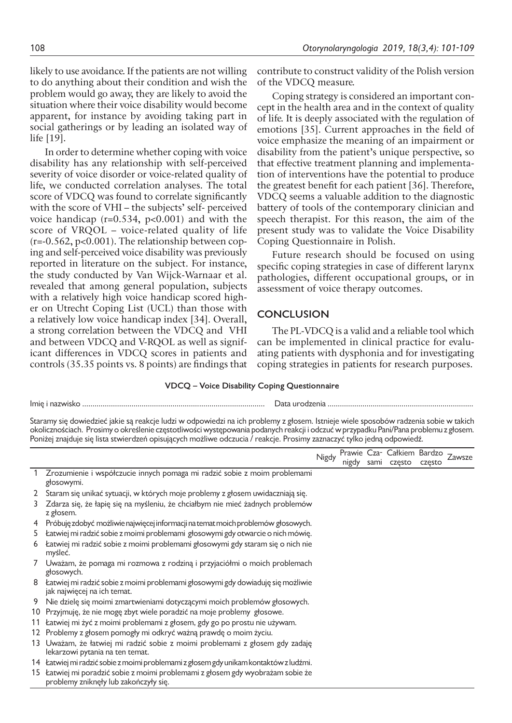likely to use avoidance. If the patients are not willing to do anything about their condition and wish the problem would go away, they are likely to avoid the situation where their voice disability would become apparent, for instance by avoiding taking part in social gatherings or by leading an isolated way of life [19].

In order to determine whether coping with voice disability has any relationship with self-perceived severity of voice disorder or voice-related quality of life, we conducted correlation analyses. The total score of VDCQ was found to correlate significantly with the score of VHI – the subjects' self- perceived voice handicap  $(r=0.534, p<0.001)$  and with the score of VRQOL – voice-related quality of life (r=-0.562, p<0.001). The relationship between coping and self-perceived voice disability was previously reported in literature on the subject. For instance, the study conducted by Van Wijck-Warnaar et al. revealed that among general population, subjects with a relatively high voice handicap scored higher on Utrecht Coping List (UCL) than those with a relatively low voice handicap index [34]. Overall, a strong correlation between the VDCQ and VHI and between VDCQ and V-RQOL as well as significant differences in VDCQ scores in patients and controls (35.35 points vs. 8 points) are findings that

contribute to construct validity of the Polish version of the VDCQ measure.

Coping strategy is considered an important concept in the health area and in the context of quality of life. It is deeply associated with the regulation of emotions [35]. Current approaches in the field of voice emphasize the meaning of an impairment or disability from the patient's unique perspective, so that effective treatment planning and implementation of interventions have the potential to produce the greatest benefit for each patient [36]. Therefore, VDCQ seems a valuable addition to the diagnostic battery of tools of the contemporary clinician and speech therapist. For this reason, the aim of the present study was to validate the Voice Disability Coping Questionnaire in Polish.

Future research should be focused on using specific coping strategies in case of different larynx pathologies, different occupational groups, or in assessment of voice therapy outcomes.

# **CONCLUSION**

The PL-VDCQ is a valid and a reliable tool which can be implemented in clinical practice for evaluating patients with dysphonia and for investigating coping strategies in patients for research purposes.

#### **VDCQ – Voice Disability Coping Questionnaire**

| Imię i nazwisko | . Jata l<br>1 H c |
|-----------------|-------------------|
|                 |                   |

Staramy się dowiedzieć jakie są reakcje ludzi w odpowiedzi na ich problemy z głosem. Istnieje wiele sposobów radzenia sobie w takich okolicznościach. Prosimy o określenie częstotliwości występowania podanych reakcji i odczuć w przypadku Pani/Pana problemu z głosem. Poniżej znajduje się lista stwierdzeń opisujących możliwe odczucia / reakcje. Prosimy zaznaczyć tylko jedną odpowiedź.

|    |                                                                                                                | <b>Nigdy</b> | nigdy | sami | Prawie Cza- Całkiem Bardzo<br>czesto | często | Zawsze |
|----|----------------------------------------------------------------------------------------------------------------|--------------|-------|------|--------------------------------------|--------|--------|
|    | Zrozumienie i współczucie innych pomaga mi radzić sobie z moim problemami<br>głosowymi.                        |              |       |      |                                      |        |        |
|    | Staram się unikać sytuacji, w których moje problemy z głosem uwidaczniają się.                                 |              |       |      |                                      |        |        |
|    | Zdarza się, że łapię się na myśleniu, że chciałbym nie mieć żadnych problemów<br>z głosem.                     |              |       |      |                                      |        |        |
|    | Próbuję zdobyć możliwie najwięcej informacji na temat moich problemów głosowych.                               |              |       |      |                                      |        |        |
| 5. | Łatwiej mi radzić sobie z moimi problemami głosowymi gdy otwarcie o nich mówię.                                |              |       |      |                                      |        |        |
| 6  | Łatwiej mi radzić sobie z moimi problemami głosowymi gdy staram się o nich nie<br>myśleć.                      |              |       |      |                                      |        |        |
|    | Uważam, że pomaga mi rozmowa z rodziną i przyjaciółmi o moich problemach<br>głosowych.                         |              |       |      |                                      |        |        |
| 8  | Łatwiej mi radzić sobie z moimi problemami głosowymi gdy dowiaduję się możliwie<br>jak najwięcej na ich temat. |              |       |      |                                      |        |        |
| 9  | Nie dzielę się moimi zmartwieniami dotyczącymi moich problemów głosowych.                                      |              |       |      |                                      |        |        |
| 10 | Przyjmuję, że nie mogę zbyt wiele poradzić na moje problemy głosowe.                                           |              |       |      |                                      |        |        |
| 11 | Łatwiej mi żyć z moimi problemami z głosem, gdy go po prostu nie używam.                                       |              |       |      |                                      |        |        |
| 12 | Problemy z głosem pomogły mi odkryć ważną prawdę o moim życiu.                                                 |              |       |      |                                      |        |        |
| 13 | Uważam, że łatwiej mi radzić sobie z moimi problemami z głosem gdy zadaję                                      |              |       |      |                                      |        |        |
|    | lekarzowi pytania na ten temat.                                                                                |              |       |      |                                      |        |        |
|    | 14 Łatwiej mi radzić sobie z moimi problemami z głosem gdy unikam kontaktów z ludźmi.                          |              |       |      |                                      |        |        |

- 15 Łatwiej mi poradzić sobie z moimi problemami z głosem gdy wyobrażam sobie że
- problemy zniknęły lub zakończyły się.